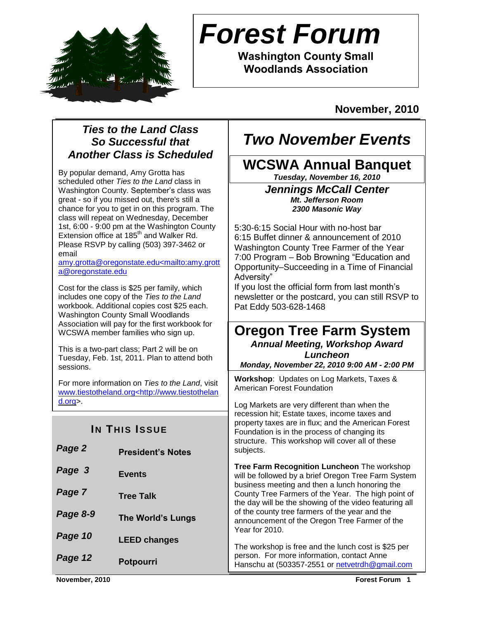

# *Forest Forum*

**Washington County Small Woodlands Association**

**November, 2010**

### *Ties to the Land Class So Successful that Another Class is Scheduled*

By popular demand, Amy Grotta has scheduled other *Ties to the Land* class in Washington County. September's class was great - so if you missed out, there's still a chance for you to get in on this program. The class will repeat on Wednesday, December 1st, 6:00 - 9:00 pm at the Washington County Extension office at 185<sup>th</sup> and Walker Rd. Please RSVP by calling (503) 397-3462 or email

[amy.grotta@oregonstate.edu<mailto:amy.grott](mailto:amy.grotta@oregonstate.edu%3cmailto:amy.grotta@oregonstate.edu) [a@oregonstate.edu](mailto:amy.grotta@oregonstate.edu%3cmailto:amy.grotta@oregonstate.edu)

Cost for the class is \$25 per family, which includes one copy of the *Ties to the Land* workbook. Additional copies cost \$25 each. Washington County Small Woodlands Association will pay for the first workbook for WCSWA member families who sign up.

This is a two-part class; Part 2 will be on Tuesday, Feb. 1st, 2011. Plan to attend both sessions.

For more information on *Ties to the Land*, visit www.tiestotheland.org<http://www.tiestothelan d.org>.

| Page 2   | <b>President's Notes</b> | structure<br>subjects                      |
|----------|--------------------------|--------------------------------------------|
| Page 3   | <b>Events</b>            | <b>Tree Far</b><br>will be fo              |
| Page 7   | <b>Tree Talk</b>         | business<br>County <sup>-</sup><br>the day |
| Page 8-9 | The World's Lungs        | of the cc<br>annound                       |
| Page 10  | <b>LEED changes</b>      | Year for                                   |
| Page 12  | Potpourri                | The wor<br>person.<br>Hanschu              |

## *Two November Events*

### **WCSWA Annual Banquet**

*Tuesday, November 16, 2010*

#### *Jennings McCall Center Mt. Jefferson Room 2300 Masonic Way*

5:30-6:15 Social Hour with no-host bar 6:15 Buffet dinner & announcement of 2010 Washington County Tree Farmer of the Year 7:00 Program – Bob Browning "Education and Opportunity–Succeeding in a Time of Financial Adversity"

If you lost the official form from last month's newsletter or the postcard, you can still RSVP to Pat Eddy 503-628-1468

#### **Oregon Tree Farm System** *Annual Meeting, Workshop Award Luncheon Monday, November 22, 2010 9:00 AM - 2:00 PM*

**Workshop**: Updates on Log Markets, Taxes & American Forest Foundation

**Notes from the President**  recession hit; Estate taxes, income taxes and **IN THIS ISSUE**<br>
Foundation is in the process of changing its Log Markets are very different than when the property taxes are in flux; and the American Forest e. This workshop will cover all of these subjects.

> **rm Recognition Luncheon** The workshop ollowed by a brief Oregon Tree Farm System s meeting and then a lunch honoring the Tree Farmers of the Year. The high point of will be the showing of the video featuring all ounty tree farmers of the year and the ement of the Oregon Tree Farmer of the 2010.

kshop is free and the lunch cost is \$25 per For more information, contact Anne J at (503357-2551 or [netvetrdh@gmail.com](mailto:netvetrdh@gmail.com)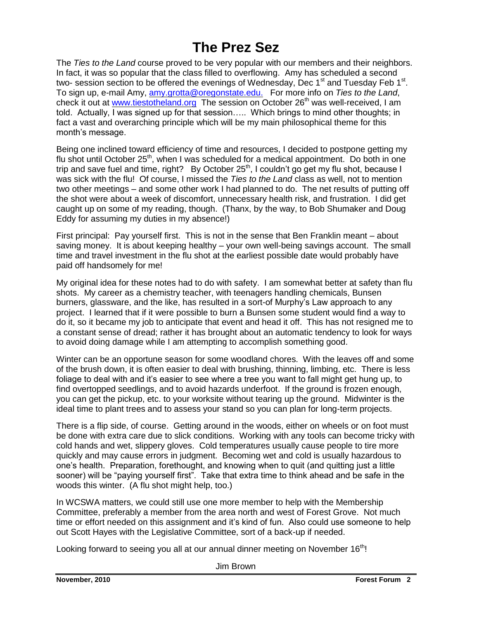### **The Prez Sez**

The *Ties to the Land* course proved to be very popular with our members and their neighbors. In fact, it was so popular that the class filled to overflowing. Amy has scheduled a second two- session section to be offered the evenings of Wednesday, Dec  $1<sup>st</sup>$  and Tuesday Feb  $1<sup>st</sup>$ . To sign up, e-mail Amy, [amy.grotta@oregonstate.edu.](mailto:amy.grotta@oregonstate.edu) For more info on *Ties to the Land*, check it out at [www.tiestotheland.org](http://www.tiestotheland.org/) The session on October 26<sup>th</sup> was well-received, I am told. Actually, I was signed up for that session….. Which brings to mind other thoughts; in fact a vast and overarching principle which will be my main philosophical theme for this month's message.

Being one inclined toward efficiency of time and resources, I decided to postpone getting my flu shot until October  $25<sup>th</sup>$ , when I was scheduled for a medical appointment. Do both in one trip and save fuel and time, right? By October  $25<sup>th</sup>$ , I couldn't go get my flu shot, because I was sick with the flu! Of course, I missed the *Ties to the Land* class as well, not to mention two other meetings – and some other work I had planned to do. The net results of putting off the shot were about a week of discomfort, unnecessary health risk, and frustration. I did get caught up on some of my reading, though. (Thanx, by the way, to Bob Shumaker and Doug Eddy for assuming my duties in my absence!)

First principal: Pay yourself first. This is not in the sense that Ben Franklin meant – about saving money. It is about keeping healthy – your own well-being savings account. The small time and travel investment in the flu shot at the earliest possible date would probably have paid off handsomely for me!

My original idea for these notes had to do with safety. I am somewhat better at safety than flu shots. My career as a chemistry teacher, with teenagers handling chemicals, Bunsen burners, glassware, and the like, has resulted in a sort-of Murphy's Law approach to any project. I learned that if it were possible to burn a Bunsen some student would find a way to do it, so it became my job to anticipate that event and head it off. This has not resigned me to a constant sense of dread; rather it has brought about an automatic tendency to look for ways to avoid doing damage while I am attempting to accomplish something good.

Winter can be an opportune season for some woodland chores. With the leaves off and some of the brush down, it is often easier to deal with brushing, thinning, limbing, etc. There is less foliage to deal with and it's easier to see where a tree you want to fall might get hung up, to find overtopped seedlings, and to avoid hazards underfoot. If the ground is frozen enough, you can get the pickup, etc. to your worksite without tearing up the ground. Midwinter is the ideal time to plant trees and to assess your stand so you can plan for long-term projects.

There is a flip side, of course. Getting around in the woods, either on wheels or on foot must be done with extra care due to slick conditions. Working with any tools can become tricky with cold hands and wet, slippery gloves. Cold temperatures usually cause people to tire more quickly and may cause errors in judgment. Becoming wet and cold is usually hazardous to one's health. Preparation, forethought, and knowing when to quit (and quitting just a little sooner) will be "paying yourself first". Take that extra time to think ahead and be safe in the woods this winter. (A flu shot might help, too.)

In WCSWA matters, we could still use one more member to help with the Membership Committee, preferably a member from the area north and west of Forest Grove. Not much time or effort needed on this assignment and it's kind of fun. Also could use someone to help out Scott Hayes with the Legislative Committee, sort of a back-up if needed.

Looking forward to seeing you all at our annual dinner meeting on November  $16<sup>th</sup>$ !

Jim Brown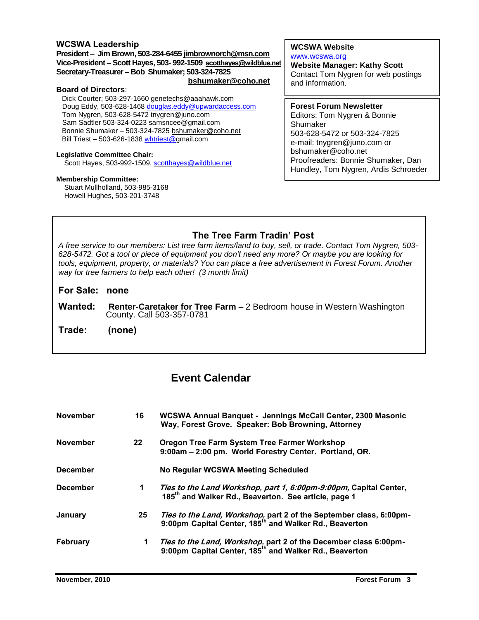#### **WCSWA Leadership**

**President – Jim Brown, 503-284-6455 [jimbrownorch@msn.com](mailto:jimbrownorch@msn.com) Vice-President – Scott Hayes, 503- 992-1509 [scotthayes@wildblue.net](mailto:scotthayes@wildblue.net) Secretary-Treasurer – Bob Shumaker; 503-324-7825 [bshumaker@coho.net](mailto:bshumaker@coho.net)**

#### **Board of Directors**:

Dick Courter; 503-297-1660 [genetechs@aaahawk.com](mailto:genetechs@aaahawk.com) Doug Eddy, 503-628-1468 [douglas.eddy@upwardaccess.com](mailto:douglas.eddy@upwardaccess.com) Tom Nygren, 503-628-5472 [tnygren@juno.com](mailto:tnygren@juno.com) Sam Sadtler 503-324-0223 samsncee@gmail.com Bonnie Shumaker – 503-324-7825 [bshumaker@coho.net](mailto:bshumaker@coho.net) Bill Triest – 503-626-1838 [whtriest@g](mailto:whtriest@)mail.com

#### **Legislative Committee Chair:**

Scott Hayes, 503-992-1509[, scotthayes@wildblue.net](mailto:scotthayes@wildblue.net)

#### **Membership Committee:**

Stuart Mullholland, 503-985-3168 Howell Hughes, 503-201-3748

#### **WCSWA Website**

[www.wcswa.org](http://www.homestead.com/WashCty/OSWA/index..html) **Website Manager: Kathy Scott** Contact Tom Nygren for web postings and information.

#### **Forest Forum Newsletter**

Editors: Tom Nygren & Bonnie Shumaker 503-628-5472 or 503-324-7825 e-mail: [tnygren@juno.com](mailto:tnygren@juno.com) or [bshumaker@coho.net](mailto:bshumaker@coho.net) Proofreaders: Bonnie Shumaker, Dan Hundley, Tom Nygren, Ardis Schroeder

#### **The Tree Farm Tradin' Post**

*A free service to our members: List tree farm items/land to buy, sell, or trade. Contact Tom Nygren, 503- 628-5472. Got a tool or piece of equipment you don't need any more? Or maybe you are looking for tools, equipment, property, or materials? You can place a free advertisement in Forest Forum. Another way for tree farmers to help each other! (3 month limit)*

**For Sale: none**

**Wanted: Renter-Caretaker for Tree Farm –** 2 Bedroom house in Western Washington County. Call 503-357-0781

**Trade: (none)** 

### **Event Calendar**

| <b>November</b> | 16     | WCSWA Annual Banquet - Jennings McCall Center, 2300 Masonic<br>Way, Forest Grove. Speaker: Bob Browning, Attorney                        |  |
|-----------------|--------|------------------------------------------------------------------------------------------------------------------------------------------|--|
| <b>November</b> | $22\,$ | Oregon Tree Farm System Tree Farmer Workshop<br>9:00am - 2:00 pm. World Forestry Center. Portland, OR.                                   |  |
| <b>December</b> |        | No Regular WCSWA Meeting Scheduled                                                                                                       |  |
| <b>December</b> | 1      | Ties to the Land Workshop, part 1, 6:00pm-9:00pm, Capital Center,<br>185 <sup>th</sup> and Walker Rd., Beaverton. See article, page 1    |  |
| January         | 25     | Ties to the Land, Workshop, part 2 of the September class, 6:00pm-<br>9:00pm Capital Center, 185 <sup>th</sup> and Walker Rd., Beaverton |  |
| February        | 1      | Ties to the Land, Workshop, part 2 of the December class 6:00pm-<br>9:00pm Capital Center, 185 <sup>th</sup> and Walker Rd., Beaverton   |  |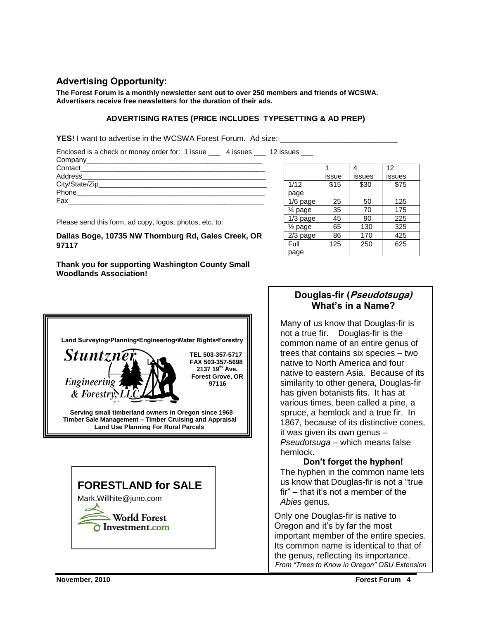#### **Advertising Opportunity:**

**The Forest Forum is a monthly newsletter sent out to over 250 members and friends of WCSWA. Advertisers receive free newsletters for the duration of their ads.**

#### **ADVERTISING RATES (PRICE INCLUDES TYPESETTING & AD PREP)**

**YES!** I want to advertise in the WCSWA Forest Forum. Ad size:

| Enclosed is a check or money order for: 1 issue ___ 4 issues ___ 12 issues ___                                 |            |
|----------------------------------------------------------------------------------------------------------------|------------|
|                                                                                                                |            |
|                                                                                                                |            |
| Address_________________                                                                                       |            |
|                                                                                                                | 1/12       |
| Phone 2008 2009 2010 2021 2022 2023 2024 2022 2022 2023 2024 2022 2023 2024 2022 2023 2024 2025 2026 2027 2028 | page       |
|                                                                                                                | $1/6$ page |
|                                                                                                                | $1/$ none  |

Please send this form, ad copy, logos, photos, etc. to:

**Dallas Boge, 10735 NW Thornburg Rd, Gales Creek, OR 97117**

**Thank you for supporting Washington County Small Woodlands Association!**



|                      |       |        | 12     |
|----------------------|-------|--------|--------|
|                      | issue | issues | issues |
| 1/12                 | \$15  | \$30   | \$75   |
| page                 |       |        |        |
| $1/6$ page           | 25    | 50     | 125    |
| 1⁄4 page             | 35    | 70     | 175    |
| $1/3$ page           | 45    | 90     | 225    |
| 1/ <sub>2</sub> page | 65    | 130    | 325    |
| 2/3 page             | 86    | 170    | 425    |
| Full                 | 125   | 250    | 625    |
| page                 |       |        |        |

#### **Douglas-fir (Pseudotsuga) What's in a Name?**

Many of us know that Douglas-fir is not a true fir. Douglas-fir is the common name of an entire genus of trees that contains six species – two native to North America and four native to eastern Asia. Because of its similarity to other genera, Douglas-fir has given botanists fits. It has at various times, been called a pine, a spruce, a hemlock and a true fir. In 1867, because of its distinctive cones, it was given its own genus – *Pseudotsuga* – which means false hemlock.

**Don't forget the hyphen!** The hyphen in the common name lets us know that Douglas-fir is not a "true"  $fir'' - that it's not a member of the$ *Abies* genus*.* 

Only one Douglas-fir is native to Oregon and it's by far the most important member of the entire species. Its common name is identical to that of the genus, reflecting its importance. *From "Trees to Know in Oregon" OSU Extension*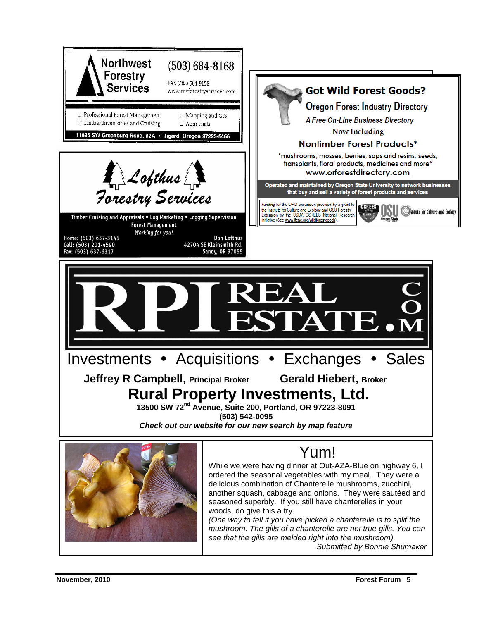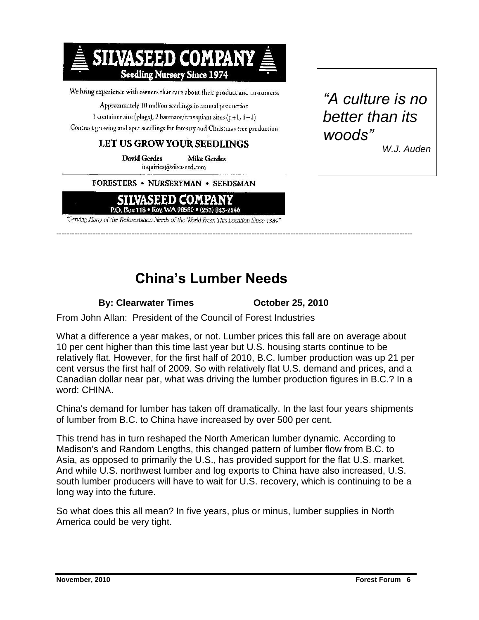

Approximately 10 million seedlings in annual production

1 container site (plugs), 2 bareroot/transplant sites (p+1,  $I+1$ )

Contract growing and spec seedlings for forestry and Christmas tree production

#### **LET US GROW YOUR SEEDLINGS**

David Gerdes **Mike Gerdes** inquiries(@silvaseed.com

#### FORESTERS . NURSERYMAN . SEEDSMAN



"Serving Many of the Reforestation Needs of the World From This Location Since 1889"

*"A culture is no better than its woods"*

*W.J. Auden*

### **China's Lumber Needs**

#### **By: Clearwater Times October 25, 2010**

From John Allan: President of the Council of Forest Industries

What a difference a year makes, or not. Lumber prices this fall are on average about 10 per cent higher than this time last year but U.S. housing starts continue to be relatively flat. However, for the first half of 2010, B.C. lumber production was up 21 per cent versus the first half of 2009. So with relatively flat U.S. demand and prices, and a Canadian dollar near par, what was driving the lumber production figures in B.C.? In a word: CHINA.

-----------------------------------------------------------------------------------------------------------------------------------------

China's demand for lumber has taken off dramatically. In the last four years shipments of lumber from B.C. to China have increased by over 500 per cent.

This trend has in turn reshaped the North American lumber dynamic. According to Madison's and Random Lengths, this changed pattern of lumber flow from B.C. to Asia, as opposed to primarily the U.S., has provided support for the flat U.S. market. And while U.S. northwest lumber and log exports to China have also increased, U.S. south lumber producers will have to wait for U.S. recovery, which is continuing to be a long way into the future.

So what does this all mean? In five years, plus or minus, lumber supplies in North America could be very tight.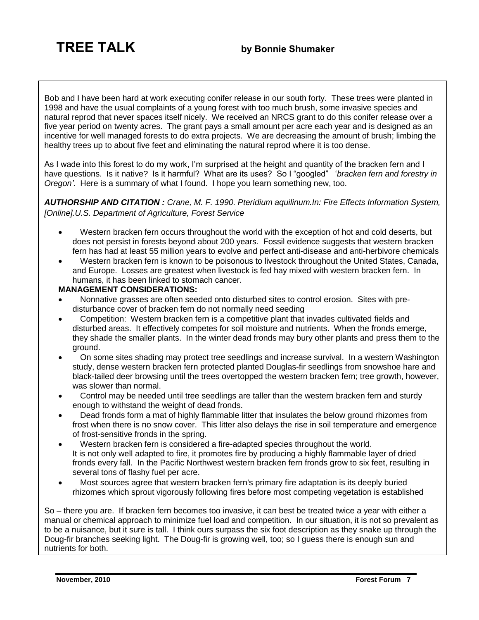Bob and I have been hard at work executing conifer release in our south forty. These trees were planted in 1998 and have the usual complaints of a young forest with too much brush, some invasive species and natural reprod that never spaces itself nicely. We received an NRCS grant to do this conifer release over a five year period on twenty acres. The grant pays a small amount per acre each year and is designed as an incentive for well managed forests to do extra projects. We are decreasing the amount of brush; limbing the healthy trees up to about five feet and eliminating the natural reprod where it is too dense.

As I wade into this forest to do my work, I'm surprised at the height and quantity of the bracken fern and I have questions. Is it native? Is it harmful? What are its uses? So I "googled" *'bracken fern and forestry in Oregon'.* Here is a summary of what I found. I hope you learn something new, too.

*AUTHORSHIP AND CITATION : Crane, M. F. 1990. Pteridium aquilinum.In: Fire Effects Information System, [Online].U.S. Department of Agriculture, Forest Service*

- Western bracken fern occurs throughout the world with the exception of hot and cold deserts, but does not persist in forests beyond about 200 years. Fossil evidence suggests that western bracken fern has had at least 55 million years to evolve and perfect anti-disease and anti-herbivore chemicals
- Western bracken fern is known to be poisonous to livestock throughout the United States, Canada, and Europe. Losses are greatest when livestock is fed hay mixed with western bracken fern. In humans, it has been linked to stomach cancer.

#### **MANAGEMENT CONSIDERATIONS:**

- Nonnative grasses are often seeded onto disturbed sites to control erosion. Sites with predisturbance cover of bracken fern do not normally need seeding
- Competition: Western bracken fern is a competitive plant that invades cultivated fields and disturbed areas. It effectively competes for soil moisture and nutrients. When the fronds emerge, they shade the smaller plants. In the winter dead fronds may bury other plants and press them to the ground.
- On some sites shading may protect tree seedlings and increase survival. In a western Washington study, dense western bracken fern protected planted Douglas-fir seedlings from snowshoe hare and black-tailed deer browsing until the trees overtopped the western bracken fern; tree growth, however, was slower than normal.
- Control may be needed until tree seedlings are taller than the western bracken fern and sturdy enough to withstand the weight of dead fronds.
- Dead fronds form a mat of highly flammable litter that insulates the below ground rhizomes from frost when there is no snow cover. This litter also delays the rise in soil temperature and emergence of frost-sensitive fronds in the spring.
- Western bracken fern is considered a fire-adapted species throughout the world. It is not only well adapted to fire, it promotes fire by producing a highly flammable layer of dried fronds every fall. In the Pacific Northwest western bracken fern fronds grow to six feet, resulting in several tons of flashy fuel per acre.
- Most sources agree that western bracken fern's primary fire adaptation is its deeply buried rhizomes which sprout vigorously following fires before most competing vegetation is established

So – there you are. If bracken fern becomes too invasive, it can best be treated twice a year with either a manual or chemical approach to minimize fuel load and competition. In our situation, it is not so prevalent as to be a nuisance, but it sure is tall. I think ours surpass the six foot description as they snake up through the Doug-fir branches seeking light. The Doug-fir is growing well, too; so I guess there is enough sun and nutrients for both.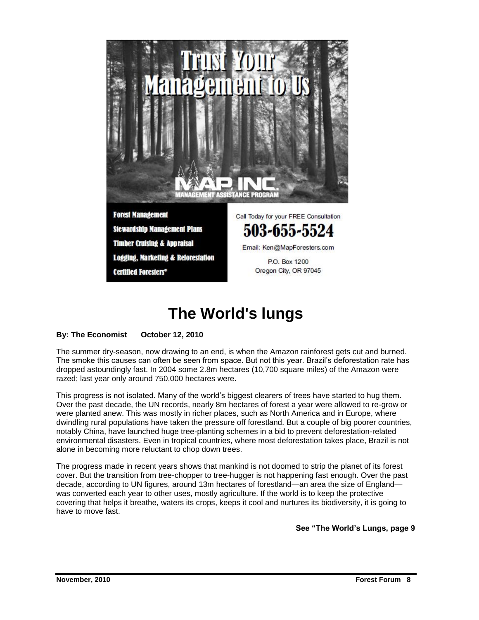

### **The World's lungs**

#### **By: The Economist October 12, 2010**

The summer dry-season, now drawing to an end, is when the Amazon rainforest gets cut and burned. The smoke this causes can often be seen from space. But not this year. Brazil's deforestation rate has dropped astoundingly fast. In 2004 some 2.8m hectares (10,700 square miles) of the Amazon were razed; last year only around 750,000 hectares were.

This progress is not isolated. Many of the world's biggest clearers of trees have started to hug them. Over the past decade, the UN records, nearly 8m hectares of forest a year were allowed to re-grow or were planted anew. This was mostly in richer places, such as North America and in Europe, where dwindling rural populations have taken the pressure off forestland. But a couple of big poorer countries, notably China, have launched huge tree-planting schemes in a bid to prevent deforestation-related environmental disasters. Even in tropical countries, where most deforestation takes place, Brazil is not alone in becoming more reluctant to chop down trees.

The progress made in recent years shows that mankind is not doomed to strip the planet of its forest cover. But the transition from tree-chopper to tree-hugger is not happening fast enough. Over the past decade, according to UN figures, around 13m hectares of forestland—an area the size of England was converted each year to other uses, mostly agriculture. If the world is to keep the protective covering that helps it breathe, waters its crops, keeps it cool and nurtures its biodiversity, it is going to have to move fast.

**See "The World's Lungs, page 9**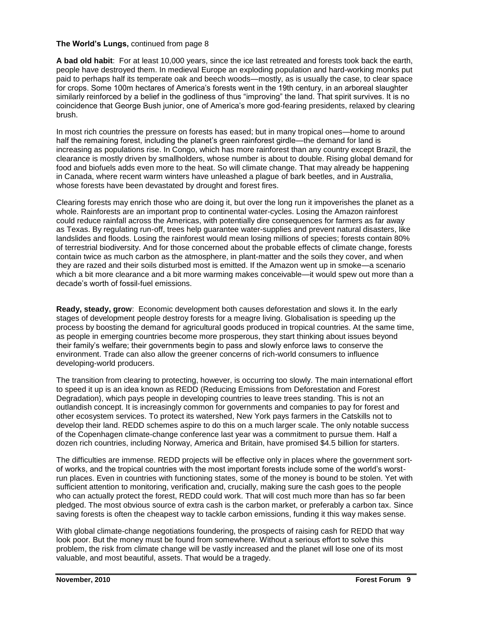#### **The World's Lungs,** continued from page 8

**A bad old habit**: For at least 10,000 years, since the ice last retreated and forests took back the earth, people have destroyed them. In medieval Europe an exploding population and hard-working monks put paid to perhaps half its temperate oak and beech woods—mostly, as is usually the case, to clear space for crops. Some 100m hectares of America's forests went in the 19th century, in an arboreal slaughter similarly reinforced by a belief in the godliness of thus "improving" the land. That spirit survives. It is no coincidence that George Bush junior, one of America's more god-fearing presidents, relaxed by clearing brush.

In most rich countries the pressure on forests has eased; but in many tropical ones—home to around half the remaining forest, including the planet's green rainforest girdle—the demand for land is increasing as populations rise. In Congo, which has more rainforest than any country except Brazil, the clearance is mostly driven by smallholders, whose number is about to double. Rising global demand for food and biofuels adds even more to the heat. So will climate change. That may already be happening in Canada, where recent warm winters have unleashed a plague of bark beetles, and in Australia, whose forests have been devastated by drought and forest fires.

Clearing forests may enrich those who are doing it, but over the long run it impoverishes the planet as a whole. Rainforests are an important prop to continental water-cycles. Losing the Amazon rainforest could reduce rainfall across the Americas, with potentially dire consequences for farmers as far away as Texas. By regulating run-off, trees help guarantee water-supplies and prevent natural disasters, like landslides and floods. Losing the rainforest would mean losing millions of species; forests contain 80% of terrestrial biodiversity. And for those concerned about the probable effects of climate change, forests contain twice as much carbon as the atmosphere, in plant-matter and the soils they cover, and when they are razed and their soils disturbed most is emitted. If the Amazon went up in smoke—a scenario which a bit more clearance and a bit more warming makes conceivable—it would spew out more than a decade's worth of fossil-fuel emissions.

**Ready, steady, grow**: Economic development both causes deforestation and slows it. In the early stages of development people destroy forests for a meagre living. Globalisation is speeding up the process by boosting the demand for agricultural goods produced in tropical countries. At the same time, as people in emerging countries become more prosperous, they start thinking about issues beyond their family's welfare; their governments begin to pass and slowly enforce laws to conserve the environment. Trade can also allow the greener concerns of rich-world consumers to influence developing-world producers.

The transition from clearing to protecting, however, is occurring too slowly. The main international effort to speed it up is an idea known as REDD (Reducing Emissions from Deforestation and Forest Degradation), which pays people in developing countries to leave trees standing. This is not an outlandish concept. It is increasingly common for governments and companies to pay for forest and other ecosystem services. To protect its watershed, New York pays farmers in the Catskills not to develop their land. REDD schemes aspire to do this on a much larger scale. The only notable success of the Copenhagen climate-change conference last year was a commitment to pursue them. Half a dozen rich countries, including Norway, America and Britain, have promised \$4.5 billion for starters.

The difficulties are immense. REDD projects will be effective only in places where the government sortof works, and the tropical countries with the most important forests include some of the world's worstrun places. Even in countries with functioning states, some of the money is bound to be stolen. Yet with sufficient attention to monitoring, verification and, crucially, making sure the cash goes to the people who can actually protect the forest, REDD could work. That will cost much more than has so far been pledged. The most obvious source of extra cash is the carbon market, or preferably a carbon tax. Since saving forests is often the cheapest way to tackle carbon emissions, funding it this way makes sense.

With global climate-change negotiations foundering, the prospects of raising cash for REDD that way look poor. But the money must be found from somewhere. Without a serious effort to solve this problem, the risk from climate change will be vastly increased and the planet will lose one of its most valuable, and most beautiful, assets. That would be a tragedy.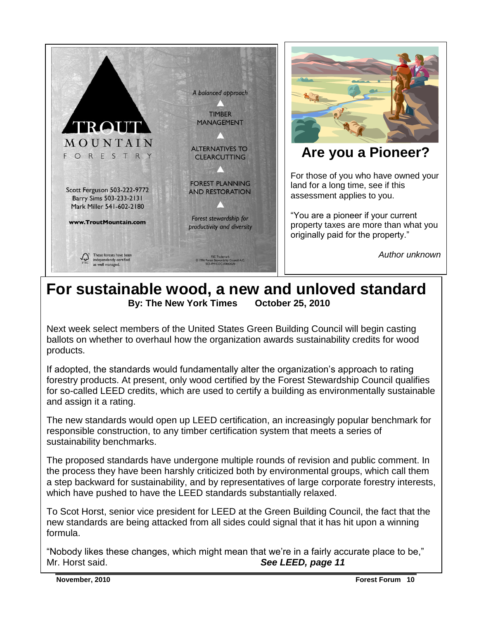



### **Are you a Pioneer?**

For those of you who have owned your land for a long time, see if this assessment applies to you.

"You are a pioneer if your current property taxes are more than what you originally paid for the property."

*Author unknown*

### **For sustainable wood, a new and unloved standard By: The New York Times October 25, 2010**

Next week select members of the United States Green Building Council will begin casting ballots on whether to overhaul how the organization awards sustainability credits for wood products.

If adopted, the standards would fundamentally alter the organization's approach to rating forestry products. At present, only wood certified by the Forest Stewardship Council qualifies for so-called LEED credits, which are used to certify a building as environmentally sustainable and assign it a rating.

The new standards would open up LEED certification, an increasingly popular benchmark for responsible construction, to any timber certification system that meets a series of sustainability benchmarks.

The proposed standards have undergone multiple rounds of revision and public comment. In the process they have been harshly criticized both by environmental groups, which call them a step backward for sustainability, and by representatives of large corporate forestry interests, which have pushed to have the LEED standards substantially relaxed.

To Scot Horst, senior vice president for LEED at the Green Building Council, the fact that the new standards are being attacked from all sides could signal that it has hit upon a winning formula.

"Nobody likes these changes, which might mean that we're in a fairly accurate place to be," Mr. Horst said. *See LEED, page 11*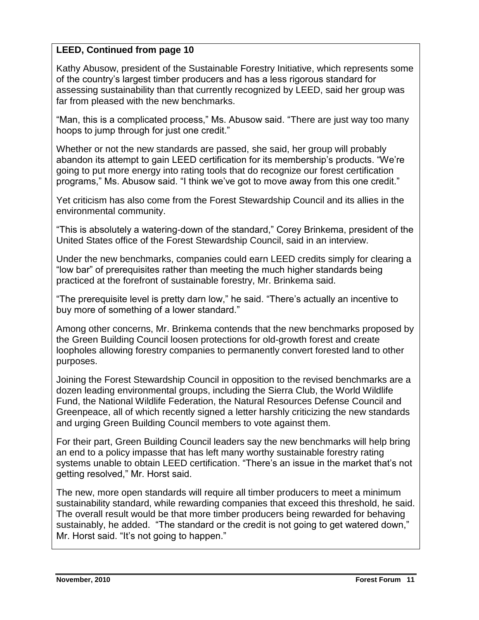#### **LEED, Continued from page 10**

Kathy Abusow, president of the Sustainable Forestry Initiative, which represents some of the country's largest timber producers and has a less rigorous standard for assessing sustainability than that currently recognized by LEED, said her group was far from pleased with the new benchmarks.

"Man, this is a complicated process," Ms. Abusow said. "There are just way too many hoops to jump through for just one credit."

Whether or not the new standards are passed, she said, her group will probably abandon its attempt to gain LEED certification for its membership's products. "We're going to put more energy into rating tools that do recognize our forest certification programs," Ms. Abusow said. "I think we've got to move away from this one credit."

Yet criticism has also come from the Forest Stewardship Council and its allies in the environmental community.

"This is absolutely a watering-down of the standard," Corey Brinkema, president of the United States office of the Forest Stewardship Council, said in an interview.

Under the new benchmarks, companies could earn LEED credits simply for clearing a "low bar" of prerequisites rather than meeting the much higher standards being practiced at the forefront of sustainable forestry, Mr. Brinkema said.

"The prerequisite level is pretty darn low," he said. "There's actually an incentive to buy more of something of a lower standard."

Among other concerns, Mr. Brinkema contends that the new benchmarks proposed by the Green Building Council loosen protections for old-growth forest and create loopholes allowing forestry companies to permanently convert forested land to other purposes.

Joining the Forest Stewardship Council in opposition to the revised benchmarks are a dozen leading environmental groups, including the Sierra Club, the World Wildlife Fund, the National Wildlife Federation, the Natural Resources Defense Council and Greenpeace, all of which recently signed a letter harshly criticizing the new standards and urging Green Building Council members to vote against them.

For their part, Green Building Council leaders say the new benchmarks will help bring an end to a policy impasse that has left many worthy sustainable forestry rating systems unable to obtain LEED certification. "There's an issue in the market that's not getting resolved," Mr. Horst said.

The new, more open standards will require all timber producers to meet a minimum sustainability standard, while rewarding companies that exceed this threshold, he said. The overall result would be that more timber producers being rewarded for behaving sustainably, he added. "The standard or the credit is not going to get watered down," Mr. Horst said. "It's not going to happen."